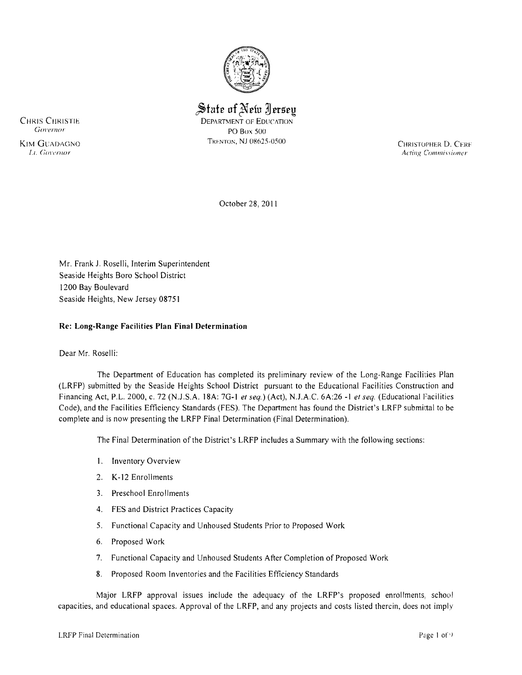

 $\hat{\mathbb{S}}$ tate of New Jersey

CHRIS CHRISTIE DEPARTMENT OF EDUCATION PO Box 500

KIM GUADAGNO<br> *KIM GUADAGNO*<br> *Lt. Governor*<br> *Lt. Governor Acting Commissioner* 

October 28,20 II

Mr. Frank J, Roselli, Interim Superintendent Seaside Heights Boro School District 1200 Bay Boulevard Seaside Heights, New Jersey 08751

## **Re: Long-Range Facilities Plan Final Determination**

#### Dear Mr. Roselli:

The Department of Education has completed its preliminary review of the Long-Range Facilities Plan (LRFP) submitted by the Seaside Heights School District pursuant to the Educational Facilities Construction and Financing Act, P,L. 2000, c, 72 (N.J,S,A, 18A: 7G-I *et seq,)* (Act), N.JAC, 6A:26 **-I** *et seq.* (Educational Facilities Code), and the Facilities Efficiency Standards (FES). The Department has found the District's LRFP submittal to be complete and is now presenting the LRFP Final Determination (Final Determination),

The Final Determination of the District's LRFP includes a Summary with the following sections:

- I, Inventory Overview
- 2, K-12 Enrollments
- 3. Preschool Enrollments
- 4, FES and District Practices Capacity
- 5, Functional Capacity and Unhoused Students Prior to Proposed Work
- 6, Proposed Work
- 7, Functional Capacity and Unhoused Students After Completion of Proposed Work
- 8, Proposed Room Inventories and the Facilities Efficiency Standards

Major LRFP approval issues include the adequacy of the LRFP's proposed enrollments, school capacities, and educational spaces, Approval of the LRFP, and any projects and costs listed therein, does not imply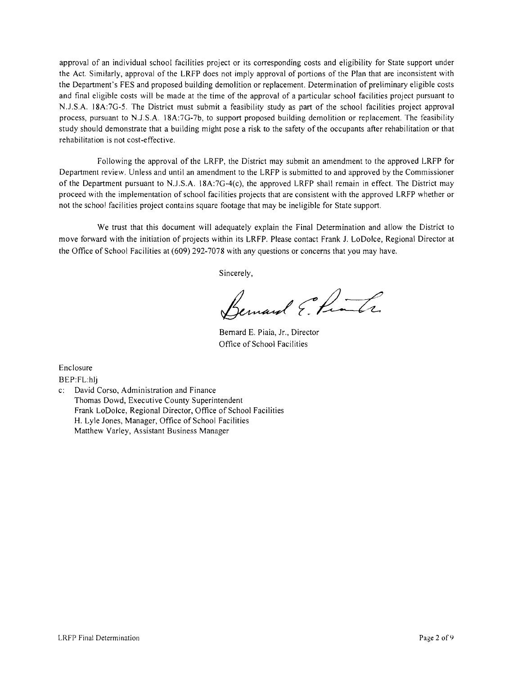approval of an individual school facilities project or its corresponding costs and eligibility for State support under the Act. Similarly, approval of the LRFP does not imply approval of portions of the Plan that are inconsistent with the Department's FES and proposed building demolition or replacement. Determination of preliminary eligible costs and final eligible costs will be made at the time of the approval of a particular school facilities project pursuant to N.J .S.A. l8A:7G-5. The District must submit a feasibility study as part of the school facilities project approval process, pursuant to N.J.S.A. 18A:7G-7b, to support proposed building demolition or replacement. The feasibility study should demonstrate that a building might pose a risk to the safety of the occupants after rehabilitation or that rehabilitation is not cost-effective.

Following the approval of the LRFP, the District may submit an amendment to the approved LRFP for Department review. Unless and until an amendment to the LRFP is submitted to and approved by the Commissioner of the Department pursuant to N.J.S.A. l8A:7G-4(c), the approved LRFP shall remain in effect. The District may proceed with the implementation of school facilities projects that are consistent with the approved LRFP whether or not the school facilities project contains square footage that may be ineligible for State support.

We trust that this document will adequately explain the Final Determination and allow the District to move forward with the initiation of projects within its LRFP. Please contact Frank 1. LoDolce, Regional Director at the Office of School Facilities at (609) 292-7078 with any questions or concerns that you may have.

Sincerely,

Bernard Elinha

Bernard E. Piaia, Jr., Director Office of School Facilities

Enclosure

BEP:FL:hlj

c: David Corso, Administration and Finance Thomas Dowd, Executive County Superintendent Frank LoDolce, Regional Director, Office of School Facilities H. Lyle Jones, Manager, Office of School Facilities Matthew Varley, Assistant Business Manager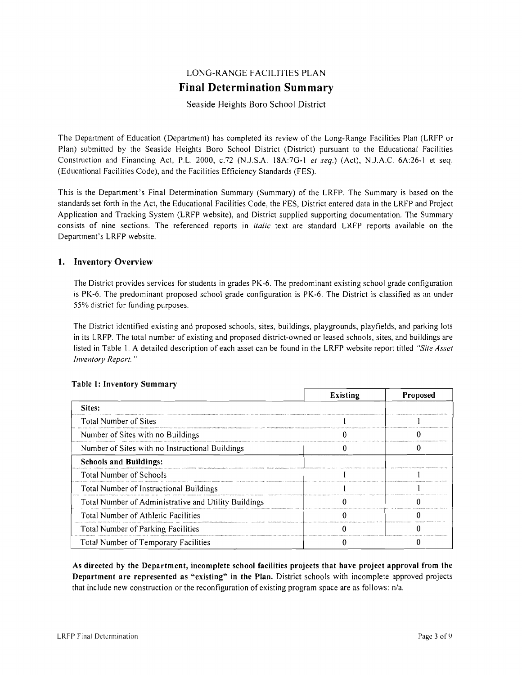# LONG-RANGE FACILITIES PLAN **Final Determination Summary**

## Seaside Heights Bora School District

The Department of Education (Department) has completed its review of the Long-Range Facilities Plan (LRFP or Plan) submitted by the Seaside Heights Boro School District (District) pursuant to the Educational Facilities Construction and Financing Act, P.L. 2000, *c.*72 (N.J.S.A. 18A:7G-1 *et seq.*) (Act), N.J.A.C. 6A:26-1 et seq. (Educational Facilities Code), and the Facilities Efficiency Standards (FES).

This is the Department's Final Determination Summary (Summary) of the LRFP. The Summary is based on the standards set forth in the Act, the Educational Facilities Code, the FES, District entered data in the LRFP and Project Application and Tracking System (LRFP website), and District supplied supporting documentation. The Summary consists of nine sections. The referenced reports in *italic* text are standard LRFP reports available on the Department's LRFP website.

## 1. Inventory Overview

The District provides services for students in grades PK-6. The predominant existing school grade configuration is PK-6. The predominant proposed school grade configuration is PK-6. The District is classified as an under 55% district for funding purposes.

The District identified existing and proposed schools, sites, buildings, playgrounds, playfields, and parking lots in its LRFP. The total number of existing and proposed district-owned or leased schools, sites, and buildings are listed in Table 1. A detailed description of each asset can be found in the LRFP website report titled *"Site Asset Inventory Report. "* 

|                                                      | Existing | Proposed |
|------------------------------------------------------|----------|----------|
| Sites:                                               |          |          |
| Total Number of Sites                                |          |          |
| Number of Sites with no Buildings                    |          |          |
| Number of Sites with no Instructional Buildings      |          |          |
| <b>Schools and Buildings:</b>                        |          |          |
| <b>Total Number of Schools</b>                       |          |          |
| Total Number of Instructional Buildings              |          |          |
| Total Number of Administrative and Utility Buildings |          |          |
| Total Number of Athletic Facilities                  |          |          |
| Total Number of Parking Facilities                   |          |          |
| Total Number of Temporary Facilities                 |          |          |

#### Table 1: Inventory Sum mary

As directed by the Department, incomplete school facilities projects that have project approval from the Department are represented as "existing" in the Plan. District schools with incomplete approved projects that include new construction or the reconfiguration of existing program space are as follows: n/a.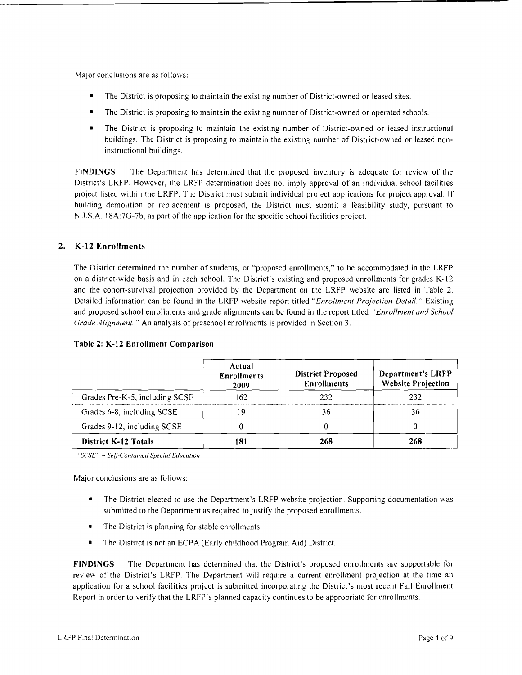Major conclusions are as follows:

- The District is proposing to maintain the existing number of District-owned or leased sites.
- The District is proposing to maintain the existing number of District-owned or operated schools.
- The District is proposing to maintain the existing number of District-owned or leased instructional buildings. The District is proposing to maintain the existing number of District-owned or leased noninstructional buildings.

FINDINGS The Department has determined that the proposed inventory is adequate for review of the District's LRFP. However, the LRFP determination does not imply approval of an individual school facilities project listed within the LRFP. The District must submit individual project applications for project approval. If building demolition or replacement is proposed, the District must submit a feasibility study, pursuant to NJ .S.A. 18A:7G-7b, as part of the application for the specific school facilities project.

# 2. K-12 Enrollments

The District determined the number of students, or "proposed enrollments," to be accommodated in the LRFP on a district-wide basis and in each school. The District's existing and proposed enrollments for grades K-12 and the cohort-survival projection provided by the Department on the LRFP website are listed in Table 2. Detailed information can be found in the LRFP website report titled *"Enrollment Projection Detail.* " Existing and proposed school enrollments and grade alignments can be found in the report titled *"Enrollment and School Grade Alignment.* " An analysis of preschool enrollments is provided in Section 3.

| Table 2: K-12 Enrollment Comparison |  |  |  |  |
|-------------------------------------|--|--|--|--|
|-------------------------------------|--|--|--|--|

|                                | Actual<br><b>Enrollments</b><br>2009 | <b>District Proposed</b><br><b>Enrollments</b> | Department's LRFP<br><b>Website Projection</b> |
|--------------------------------|--------------------------------------|------------------------------------------------|------------------------------------------------|
| Grades Pre-K-5, including SCSE | 62                                   | 23 Z                                           | 232                                            |
| Grades 6-8, including SCSE     |                                      |                                                |                                                |
| Grades 9-12, including SCSE    |                                      |                                                |                                                |
| <b>District K-12 Totals</b>    |                                      |                                                | 268                                            |

*"S('SE"* = *Self-Contained Special Educalion* 

Major conclusions are as follows:

- The District elected to use the Department's LRFP website projection. Supporting documentation was submitted to the Department as required to justify the proposed enrollments.
- The District is planning for stable enrollments.
- The District is not an ECPA (Early childhood Program Aid) District.

FINDINGS The Department has determined that the District's proposed enrollments are supportable for review of the District's LRFP. The Department will require a current enrollment projection at the time an application for a school facilities project is submitted incorporating the District's most recent Fall Enrollment Report in order to verify that the LRFP's planned capacity continues to be appropriate for enrollments.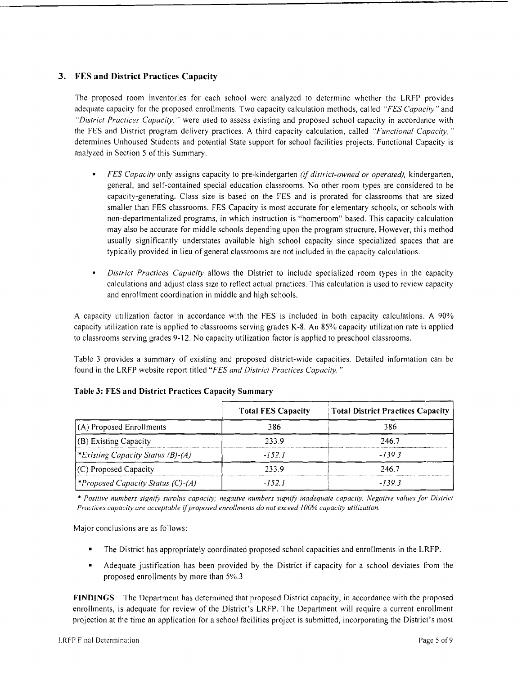# **3. FES and District Practices Capacity**

The proposed room inventories for each school were analyzed to determine whether the LRFP provides adequate capacity for the proposed enrollments. Two capacity calculation methods, called *"FES Capacity"* and *"District Practices Capacity,* " were used to assess existing and proposed school capacity in accordance with the FES and District program delivery practices. A third capacity calculation, called *"Functional Capacity. "*  determines Unhoused Students and potential State support for school facilities projects. Functional Capacity is analyzed in Section 5 of this Summary.

- *FES Capacity* only assigns capacity to pre-kindergarten *(if district-owned or operated),* kindergarten, general, and self-contained special education classrooms. No other room types are considered to be capacity-generating. Class size is based on the FES and is prorated for classrooms that are sized smaller than FES classrooms. FES Capacity is most accurate for elementary schools, or schools with non-departmentalized programs, in which instruction is "homeroom" based. This capacity calculation may also be accurate for middle schools depending upon the program structure. However, this method usually significantly understates available high school capacity since specialized spaces that are typically provided in lieu of general classrooms are not included in the capacity calculations.
- *District Practices Capacity* allows the District to include specialized room types in the capacity calculations and adjust class size to reflect actual practices. This calculation is used to review capacity and enrollment coordination in middle and high schools.

A capacity utilization factor in accordance with the FES is included in both capacity calculations. A 90% capacity utilization rate is applied to classrooms serving grades K-8. An 85% capacity utilization rate is applied to classrooms serving grades 9-12. No capacity utilization factor is applied to preschool classrooms.

Table 3 provides a summary of existing and proposed district-wide capacities. Detailed information can be found in the LRFP website report titled *"FES and District Practices Capacity. "* 

|                                                | <b>Total FES Capacity</b> | <b>Total District Practices Capacity</b> |
|------------------------------------------------|---------------------------|------------------------------------------|
| $(A)$ Proposed Enrollments                     | 386                       | 386                                      |
| (B) Existing Capacity                          | 233.9                     | 246.7                                    |
| <i><b>Existing Capacity Status (B)-(A)</b></i> | -1521                     | $-1393$                                  |
| $(C)$ Proposed Capacity                        | 2339                      | 246.7                                    |
| <i>*Proposed Capacity Status (C)-(A)</i>       | -1521                     | $-1393$                                  |

# **Table 3: FES and District Practices Capacity Summary**

\* Positive numbers signify surplus capacity; negative numbers signify inadequate capacity. Negative values for District *Practices capacity are acceptable ijproposed enrollments do not exceed IO()% capacity utilization.* 

Major conclusions are as follows:

- The District has appropriately coordinated proposed school capacities and enrollments in the LRFP.
- Adequate justification has been provided by the District if capacity for a school deviates from the proposed enrollments by more than 5%.3

**FINDINGS** The Department has determined that proposed District capacity, in accordance with the proposed enrollments, is adequate for review of the District's LRFP. The Department will require a current enrollment projection at the time an application for a school facilities project is submitted, incorporating the Districl 's most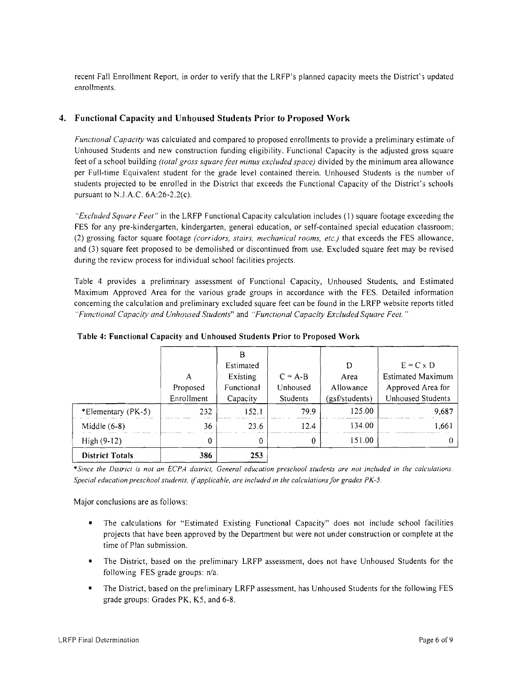recent Fall Enrollment Report, in order to verify that the LRFP's planned capacity meets the District's updated enrollments.

# **4. Functional Capacity and Unhoused Students Prior to Proposed Work**

*Functional Capacity* was calculated and compared to proposed enrollments to provide a preliminary estimate of Unhoused Students and new construction funding eligibility. Functional Capacity is the adjusted gross square feet of a school building *(total gross square feet minus excluded space)* divided by the minimum area allowance per Full-time Equivalent student for the grade level contained therein. Unhoused Students is the number of students projected to be enrolled in the District that exceeds the Functional Capacity of the District's schools pursuant to N.J.A.C. 6A:26-2.2(c).

*"Excluded Square Feet"* in the LRFP Functional Capacity calculation includes (l) square footage exceeding the FES for any pre-kindergarten, kindergarten, general education, or self-contained special education classroom; (2) grossing factor square footage *(corridors, stairs, mechanical rooms, etc.)* that exceeds the FES allowance, and (3) square feet proposed to be demolished or discontinued from use. Excluded square feet may be revised during the review process for individual school facilities projects.

Table 4 provides a preliminary assessment of Functional Capacity, Unhoused Students, and Estimated Maximum Approved Area for the various grade groups in accordance with the FES. Detailed information concerning the calculation and preliminary excluded square feet can be found in the LRFP website reports titled *"Functional Capacity and Unhoused Students"* and *"Functional Capacity Excluded Square Feet. "* 

| <b>District Totals</b> | 386        | 253        |           |                |                          |
|------------------------|------------|------------|-----------|----------------|--------------------------|
| $High (9-12)$          | 0          | 0          | 0         | 151.00         |                          |
| Middle $(6-8)$         | 36         | 23.6       | 124       | 134.00         | .661                     |
| *Elementary (PK-5)     | 232        | 152.1      | 79.9      | 125.00         | 9,687                    |
|                        | Enrollment | Capacity   | Students  | (gsf/students) | Unhoused Students        |
|                        | Proposed   | Functional | Unhoused  | Allowance      | Approved Area for        |
|                        | Α          | Existing   | $C = A-B$ | Area           | <b>Estimated Maximum</b> |
|                        |            | Estimated  |           | D              | $E = C \times D$         |
|                        |            | В          |           |                |                          |

**Table 4: Functional Capacity and Unhoused Students Prior to Proposed Work** 

\**Since the District is not an ECPA district, General education preschool students are not included in the calculations Special education preschool students,* if*applicable, are included in the calculations/or grades PK-5.* 

Major conclusions are as follows:

- The calculations for "Estimated Existing Functional Capacity" does not include school facilities projects that have been approved by the Department but were not under construction or complete at the time of Plan submission.
- The District, based on the preliminary LRFP assessment, does not have Unhoused Students for the following FES grade groups: n/a.
- The District, based on the preliminary LRFP assessment, has Unhoused Students for the following FES grade groups: Grades PK, K5, and 6-8.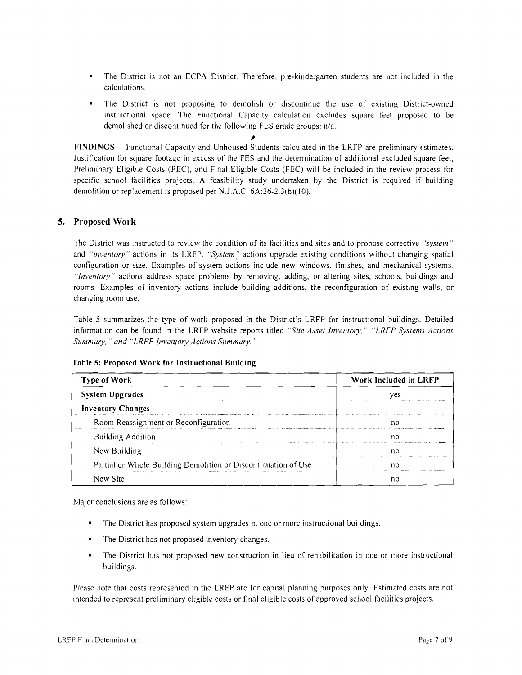- The District is not an ECPA District. Therefore, pre-kindergarten students are not included in the calculations.
- The District is not proposing to demolish or discontinue the use of existing District-owned instructional space. The Functional Capacity calculation excludes square feet proposed to be demolished or discontinued for the following FES grade groups: n/a. ,

FINDINGS Functional Capacity and Unhoused Students calculated in the LRFP are preliminary estimates. Justification for square footage in excess of the FES and the determination of additional excluded square feet, Preliminary Eligible Costs (PEC), and Final Eligible Costs (FEC) will be included in the review process for specific school facilities projects. A feasibility study undertaken by the District is required if building demolition or replacement is proposed per N.J.A.C. 6A:26-2.3(b)(lO).

#### 5. Proposed Work

The District was instructed to review the condition of its facilities and sites and to propose corrective *'system"*  and *"inventory"* actions in its LRFP. "System" actions upgrade existing conditions without changing spatial configuration or size. Examples of system actions include new windows, finishes, and mechanical systems. "Inventory" actions address space problems by removing, adding, or altering sites, schools, buildings and rooms. Examples of inventory actions include building additions, the reconfiguration of existing walls, or changing room use.

Table 5 summarizes the type of work proposed in the District's LRFP for instructional buildings. Detailed information can be found in the LRFP website reports titled *"Site Asset Inventory," "LRFP Systems Actions Summary,* " *and "LRFP Inventory Actions Summary. "* 

| <b>Type of Work</b>                                                                                        | Work Included in LRFP                            |  |  |
|------------------------------------------------------------------------------------------------------------|--------------------------------------------------|--|--|
| <b>System Upgrades</b><br>                                                                                 | ves<br>1112-12119-01-177-111-1-1-1-121-1-121     |  |  |
| <b>Inventory Changes</b>                                                                                   |                                                  |  |  |
| Room Reassignment or Reconfiguration                                                                       | no                                               |  |  |
| <b>Building Addition</b><br>West Charles Contract and Canada in a contract of the Charles Contract Charles | nc<br>Acces (exhibitions case, concern (111)<br> |  |  |
| <br>New Building                                                                                           | nc                                               |  |  |
| Partial or Whole Building Demolition or Discontinuation of Use                                             | nc                                               |  |  |
| New Site                                                                                                   | nc                                               |  |  |

#### Table 5: Proposed Work for Instructional Building

Major conclusions are as follows:

- The District has proposed system upgrades in one or more instructional buildings.
- • The District has not proposed inventory changes.
- The District has not proposed new construction in lieu of rehabilitation in one or more instructional buildings.

Please note that costs represented in the LRFP are for capital planning purposes only. Estimated costs are not intended to represent preliminary eligible costs or final eligible costs of approved school facilities projects.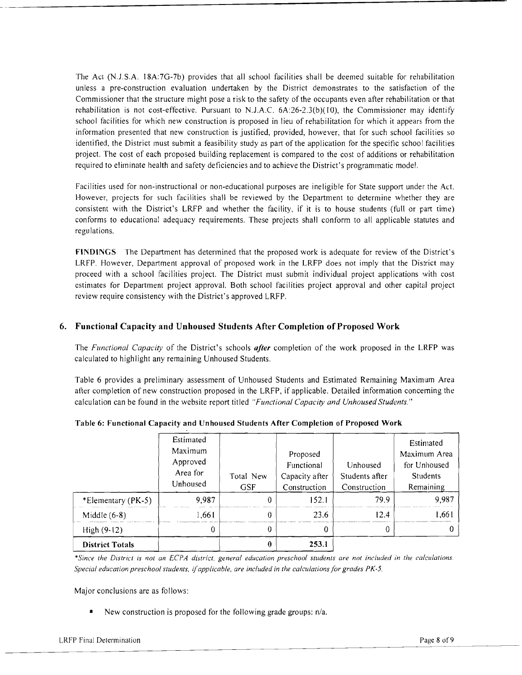The Act (N.J.S.A. 18A:7G-7b) provides that all school facilities shall be deemed suitable for rehabilitation unless a pre-construction evaluation undertaken by the District demonstrates to the satisfaction of the Commissioner that the structure might pose a risk to the safety of the occupants even after rehabilitation or that rehabilitation is not cost-effective. Pursuant to N.J.A.C. 6A:26-2.3(b)(I0), the Commissioner may identify school facilities for which new construction is proposed in lieu of rehabilitation for which it appears from the information presented that new construction is justified, provided, however, that for such school facilities so identified, the District must submit a feasibility study as part of the application for the specific school facilities project. The cost of each proposed building replacement is compared to the cost of additions or rehabilitation required to eliminate health and safety deficiencies and to achieve the District's programmatic model.

Facilities used for non-instructional or non-educational purposes are ineligible for State support under the Act. However, projects for such facilities shall be reviewed by the Department to determine whether they are consistent with the District's LRFP and whether the facility, if it is to house students (full or part time) conforms to educational adequacy requirements. These projects shall conform to all applicable statutes and regulations.

**FINDINGS** The Department has determined that the proposed work is adequate for review of the District's LRFP. However, Department approval of proposed work in the LRFP does not imply that the District may proceed with a school facilities project. The District must submit individual project applications with cost estimates for Department project approval. Both school facilities project approval and other capital project review require consistency with the District's approved LRFP.

# **6. Functional Capacity and Unhoused Students After Completion** of Proposed **Work**

The *Functional Capacity* of the District's schools *after* completion of the work proposed in the LRFP was calculated to highlight any remaining Unhoused Students.

Table 6 provides a preliminary assessment of Unhoused Students and Estimated Remaining Maximum Area after completion of new construction proposed in the LRFP, if applicable. Detailed information concerning the calculation can be found in the website report titled *"Functional Capacity and Unhoused Students."* 

|                        | Estimated<br>Maximum<br>Approved<br>Area for<br>Unhoused | Total New<br><b>GSF</b> | Proposed<br>Functional<br>Capacity after<br>Construction | Unhoused<br>Students after<br>Construction | Estimated<br>Maximum Area<br>for Unhoused<br><b>Students</b><br>Remaining |
|------------------------|----------------------------------------------------------|-------------------------|----------------------------------------------------------|--------------------------------------------|---------------------------------------------------------------------------|
| *Elementary (PK-5)     | 9,987                                                    | 0                       | 152.1                                                    | 79.9                                       | 9,987                                                                     |
| Middle $(6-8)$         | 1,661                                                    |                         | 23.6                                                     | 124                                        | ا 66.ا                                                                    |
| $High(9-12)$           |                                                          | 0                       |                                                          |                                            |                                                                           |
| <b>District Totals</b> |                                                          |                         | 253.1                                                    |                                            |                                                                           |

**Table 6: Functional Capacity and Unhoused Students After Completion of Proposed Work** 

*·Since the District* is *not an ECPA district, general education preschool sllldents are not included in the calculations. Special education preschool students, if applicable, are included in the calculations for grades PK-5.* 

Major conclusions are as follows:

• New construction is proposed for the following grade groups: n/a.